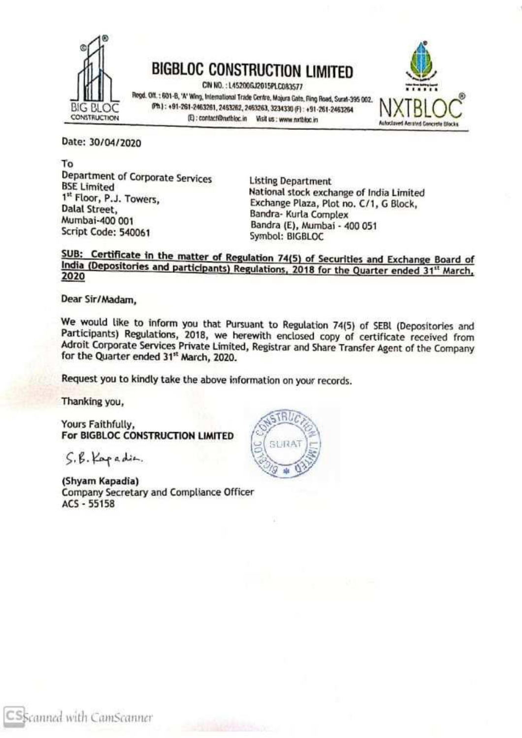

BIG BLOC Ph. 1: 691-8, 'A' Wing, International Trade Centre, Majura Gate, fling Road, Surat-395 002.<br>BIG BLOC Ph. 1: 691-8, 'A' Wing, International Trade Centre, Majura Gate, fling Road, Surat-395 002.<br>CONSTRUCTION (E): co



Date: 30/04/2020

To<br>
Department of Corporate Services<br>
BSE Limited<br>
RSE Limited<br>
1<sup>st</sup> Floor, P.J. Towers,<br>
Dalal Street,<br>
Dalal Street,<br>
Mumbai-400 001<br>
Script Code: 540061<br>
Script Code: 540061<br>
Script Code: 540061<br>
Symbol: BIGBLOC

## SUB: Certificate in the matter of Regulation 74(5) of Securities and Exchange Board of India (Depositories and participants) Regulations, 2018 for the Quarter ended 31<sup>th</sup> March, 2020

Dear Sir/Madam,

We would like to inform you that Pursuant to Regulation 74(5) of SEBI (Depositories and Participants) Regulations, 2018, we herewith enclosed copy of certificate received from Adroit Corporate Services Private Limited, Reg

Request you to kindly take the above information on your records.

'Thanking you,

Yours Faithfully,<br>For BIGBLOC CONSTRUCTION LIMITED

S.6. Rap adie.

(Shyam Kapadia)<br>Company Secretary and Compliance Officer<br>ACS - 55158